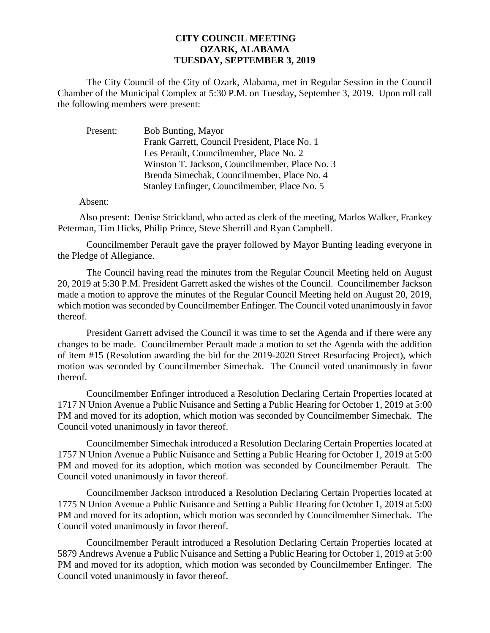## **CITY COUNCIL MEETING OZARK, ALABAMA TUESDAY, SEPTEMBER 3, 2019**

The City Council of the City of Ozark, Alabama, met in Regular Session in the Council Chamber of the Municipal Complex at 5:30 P.M. on Tuesday, September 3, 2019. Upon roll call the following members were present:

| Present: | <b>Bob Bunting, Mayor</b>                      |
|----------|------------------------------------------------|
|          | Frank Garrett, Council President, Place No. 1  |
|          | Les Perault, Councilmember, Place No. 2        |
|          | Winston T. Jackson, Councilmember, Place No. 3 |
|          | Brenda Simechak, Councilmember, Place No. 4    |
|          | Stanley Enfinger, Councilmember, Place No. 5   |

Absent:

Also present: Denise Strickland, who acted as clerk of the meeting, Marlos Walker, Frankey Peterman, Tim Hicks, Philip Prince, Steve Sherrill and Ryan Campbell.

Councilmember Perault gave the prayer followed by Mayor Bunting leading everyone in the Pledge of Allegiance.

The Council having read the minutes from the Regular Council Meeting held on August 20, 2019 at 5:30 P.M. President Garrett asked the wishes of the Council. Councilmember Jackson made a motion to approve the minutes of the Regular Council Meeting held on August 20, 2019, which motion was seconded by Councilmember Enfinger. The Council voted unanimously in favor thereof.

President Garrett advised the Council it was time to set the Agenda and if there were any changes to be made. Councilmember Perault made a motion to set the Agenda with the addition of item #15 (Resolution awarding the bid for the 2019-2020 Street Resurfacing Project), which motion was seconded by Councilmember Simechak. The Council voted unanimously in favor thereof.

Councilmember Enfinger introduced a Resolution Declaring Certain Properties located at 1717 N Union Avenue a Public Nuisance and Setting a Public Hearing for October 1, 2019 at 5:00 PM and moved for its adoption, which motion was seconded by Councilmember Simechak. The Council voted unanimously in favor thereof.

Councilmember Simechak introduced a Resolution Declaring Certain Properties located at 1757 N Union Avenue a Public Nuisance and Setting a Public Hearing for October 1, 2019 at 5:00 PM and moved for its adoption, which motion was seconded by Councilmember Perault. The Council voted unanimously in favor thereof.

Councilmember Jackson introduced a Resolution Declaring Certain Properties located at 1775 N Union Avenue a Public Nuisance and Setting a Public Hearing for October 1, 2019 at 5:00 PM and moved for its adoption, which motion was seconded by Councilmember Simechak. The Council voted unanimously in favor thereof.

Councilmember Perault introduced a Resolution Declaring Certain Properties located at 5879 Andrews Avenue a Public Nuisance and Setting a Public Hearing for October 1, 2019 at 5:00 PM and moved for its adoption, which motion was seconded by Councilmember Enfinger. The Council voted unanimously in favor thereof.